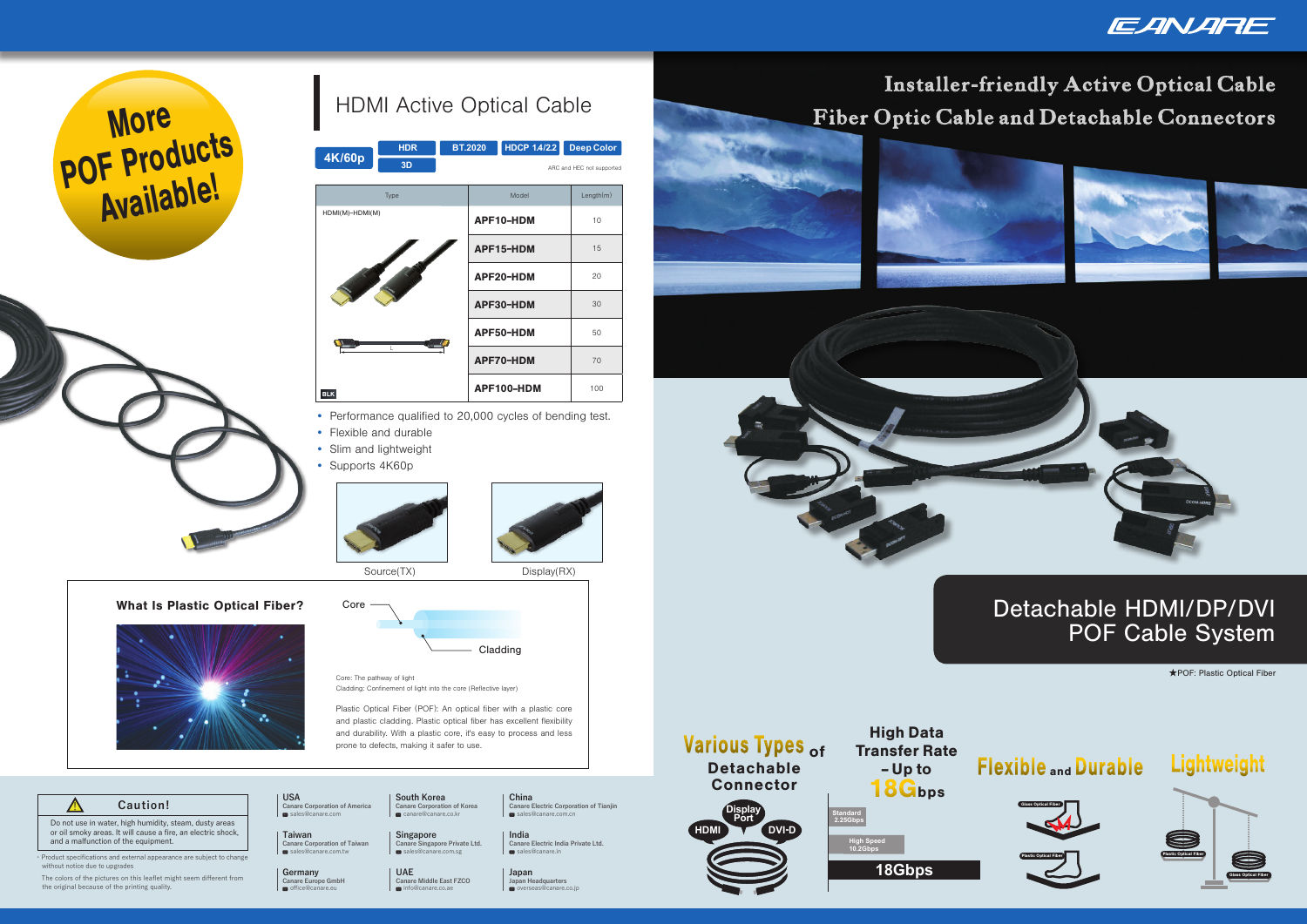Core: The pathway of light Cladding: Confinement of light into the core (Reflective layer)

s canare@canare.co.kr



## Various Types <sub>of</sub> Detachable Connector **HDMI DVI-D Standard 2.25Gbps Display Port**

Do not use in water, high humidity, steam, dusty areas or oil smoky areas. It will cause a fire, an electric shock, and a malfunction of the equipment.

### What Is Plastic Optical Fiber?



**Taiwan Singapore India Canare Singapore Private Ltd. Canare Corporation of Taiwan** sales@canare.com.tw sales@canare.com.sg sales@canare.com.sg sales@canare.in

Germany<br>Canare Europe GmbH<br> **Ex** office@canare.eu

The colors of the pictures on this leaflet might seem different from **Germany Colors Coloration Concerns on the Color**s of the pictures on this leaflet might seem different from **Concerns Combination** Concerns Combinatio the original because of the printing quality.

# Flexible and Durable Lightweight

**18Gbps**

**High Speed 10.2Gbps**



**USA**<br> **Canare Corporation of America Canare Corporation of Korea Canare Electric Corpora**<br> **⊠** sales@canare.com sales@canare.com.cn **Canare Electric Corporation of Tianjin**

**Canare Middle East FZCO Canare Europe GmbH Japan Headquarters** Japan Headquarters<br> **Ex** overseas@canare.co.jp









High Data Transfer Rate - Up to 18Gbps

# More HDMI Active Optical Cable Available!

- Performance qualified to 20,000 cycles of bending test.
- Flexible and durable
- Slim and lightweight
- Supports 4K60p





Source(TX) Display(RX)

・Product specifications and external appearance are subject to change without notice due to upgrades

|                 | <b>HDR</b> | <b>BT.2020</b> | <b>HDCP 1.4/2.2</b> | <b>Deep Color</b>         |
|-----------------|------------|----------------|---------------------|---------------------------|
| <b>4K/60p</b>   | 3D         |                |                     | ARC and HEC not supported |
|                 | Type       |                | Model               | Length(m)                 |
| HDMI(M)-HDMI(M) |            |                | APF10-HDM           | 10                        |
| г<br><b>BLK</b> |            |                | APF15-HDM           | 15                        |
|                 |            |                | APF20-HDM           | 20                        |
|                 |            |                | APF30-HDM           | 30                        |
|                 |            |                | APF50-HDM           | 50                        |
|                 |            |                | APF70-HDM           | 70                        |
|                 |            |                | APF100-HDM          | 100                       |

**Canare Electric India Private Ltd.**

info@canare.co.ae

Plastic Optical Fiber (POF): An optical fiber with a plastic core and plastic cladding. Plastic optical fiber has excellent flexibility and durability. With a plastic core, it's easy to process and less prone to defects, making it safer to use.

### **A** Caution!



★POF: Plastic Optical Fiber

# **Installer-friendly Active Optical Cable Fiber Optic Cable and Detachable Connectors**